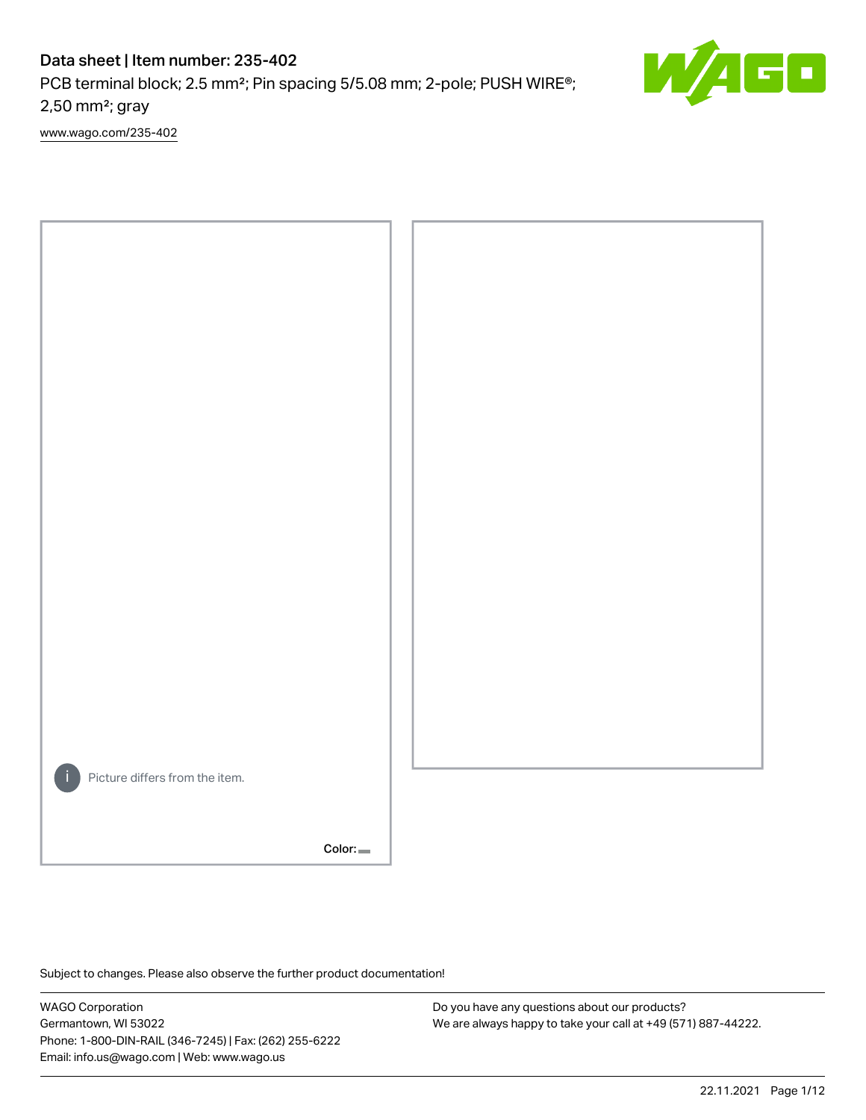PCB terminal block; 2.5 mm²; Pin spacing 5/5.08 mm; 2-pole; PUSH WIRE®; 2,50 mm²; gray

[www.wago.com/235-402](http://www.wago.com/235-402)



Color:

Subject to changes. Please also observe the further product documentation!

WAGO Corporation Germantown, WI 53022 Phone: 1-800-DIN-RAIL (346-7245) | Fax: (262) 255-6222 Email: info.us@wago.com | Web: www.wago.us

Do you have any questions about our products? We are always happy to take your call at +49 (571) 887-44222. E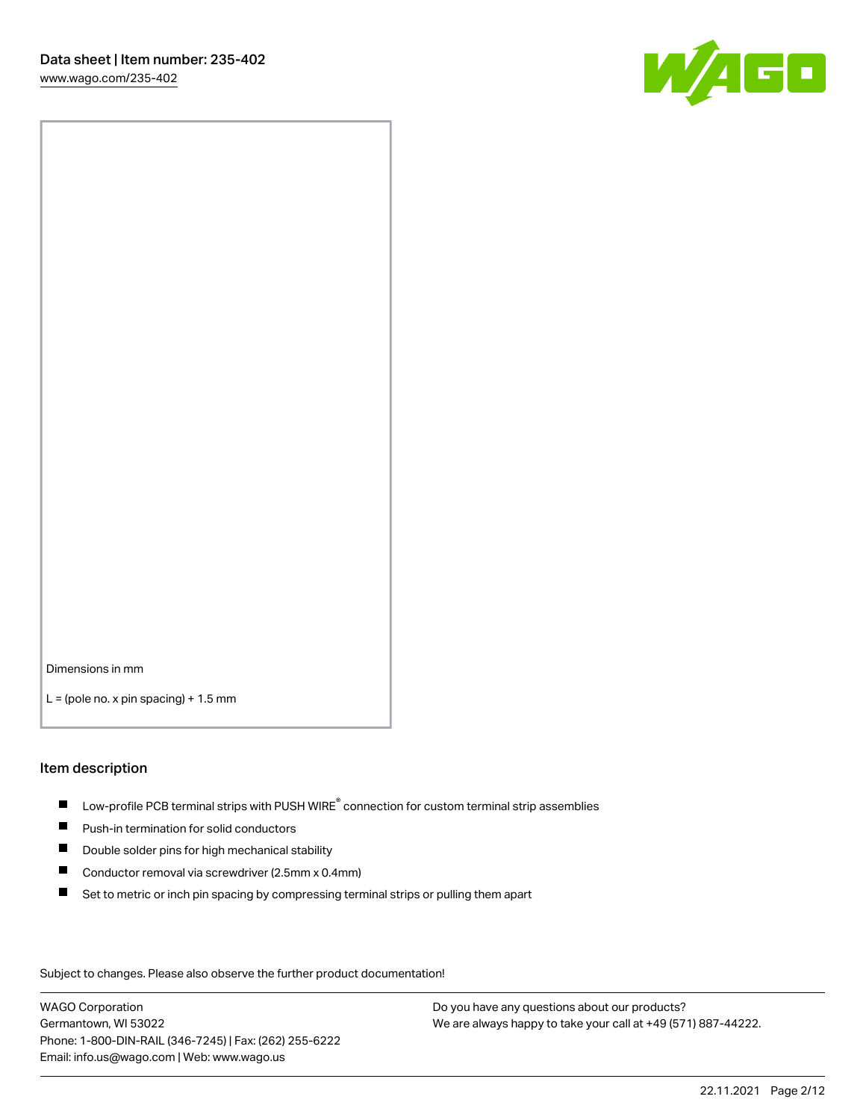

Dimensions in mm

 $L =$  (pole no. x pin spacing) + 1.5 mm

#### Item description

- $\blacksquare$  Low-profile PCB terminal strips with PUSH WIRE<sup>®</sup> connection for custom terminal strip assemblies
- **Push-in termination for solid conductors**
- $\blacksquare$ Double solder pins for high mechanical stability
- $\blacksquare$ Conductor removal via screwdriver (2.5mm x 0.4mm)
- $\blacksquare$ Set to metric or inch pin spacing by compressing terminal strips or pulling them apart

Subject to changes. Please also observe the further product documentation!

WAGO Corporation Germantown, WI 53022 Phone: 1-800-DIN-RAIL (346-7245) | Fax: (262) 255-6222 Email: info.us@wago.com | Web: www.wago.us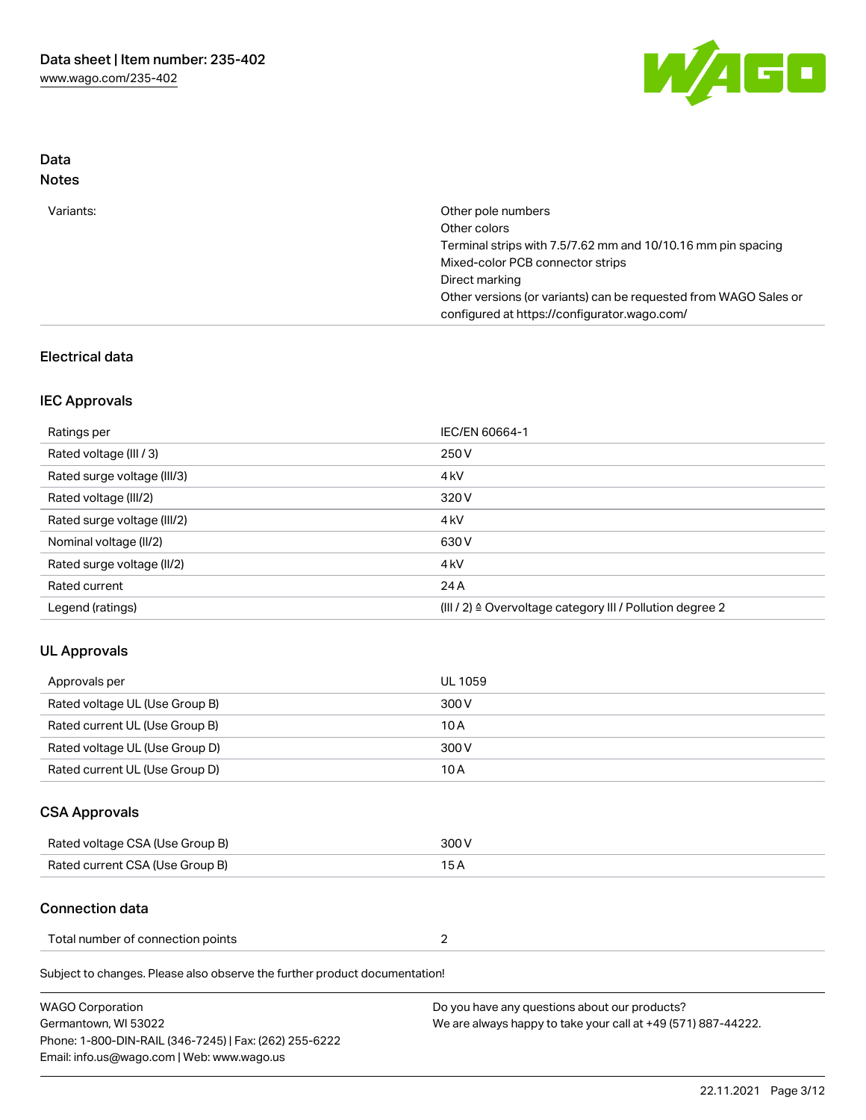

### Data Notes

| Variants: | Other pole numbers                                                                                               |
|-----------|------------------------------------------------------------------------------------------------------------------|
|           | Other colors                                                                                                     |
|           | Terminal strips with 7.5/7.62 mm and 10/10.16 mm pin spacing                                                     |
|           | Mixed-color PCB connector strips                                                                                 |
|           | Direct marking                                                                                                   |
|           | Other versions (or variants) can be requested from WAGO Sales or<br>configured at https://configurator.wago.com/ |
|           |                                                                                                                  |

### Electrical data

### IEC Approvals

| Ratings per                 | IEC/EN 60664-1                                                       |
|-----------------------------|----------------------------------------------------------------------|
| Rated voltage (III / 3)     | 250 V                                                                |
| Rated surge voltage (III/3) | 4 <sub>k</sub> V                                                     |
| Rated voltage (III/2)       | 320 V                                                                |
| Rated surge voltage (III/2) | 4 <sub>k</sub> V                                                     |
| Nominal voltage (II/2)      | 630 V                                                                |
| Rated surge voltage (II/2)  | 4 <sub>k</sub> V                                                     |
| Rated current               | 24 A                                                                 |
| Legend (ratings)            | (III / 2) $\triangleq$ Overvoltage category III / Pollution degree 2 |

### UL Approvals

| Approvals per                  | UL 1059 |
|--------------------------------|---------|
| Rated voltage UL (Use Group B) | 300 V   |
| Rated current UL (Use Group B) | 10 A    |
| Rated voltage UL (Use Group D) | 300 V   |
| Rated current UL (Use Group D) | 10 A    |

# CSA Approvals

| Rated voltage CSA (Use Group B) | 300 V |
|---------------------------------|-------|
| Rated current CSA (Use Group B) | 15 A  |

### Connection data

| Total number of connection points |  |
|-----------------------------------|--|
|-----------------------------------|--|

Subject to changes. Please also observe the further product documentation!

| WAGO Corporation                                       | Do you have any questions about our products?                 |
|--------------------------------------------------------|---------------------------------------------------------------|
| Germantown, WI 53022                                   | We are always happy to take your call at +49 (571) 887-44222. |
| Phone: 1-800-DIN-RAIL (346-7245)   Fax: (262) 255-6222 |                                                               |
| Email: info.us@wago.com   Web: www.wago.us             |                                                               |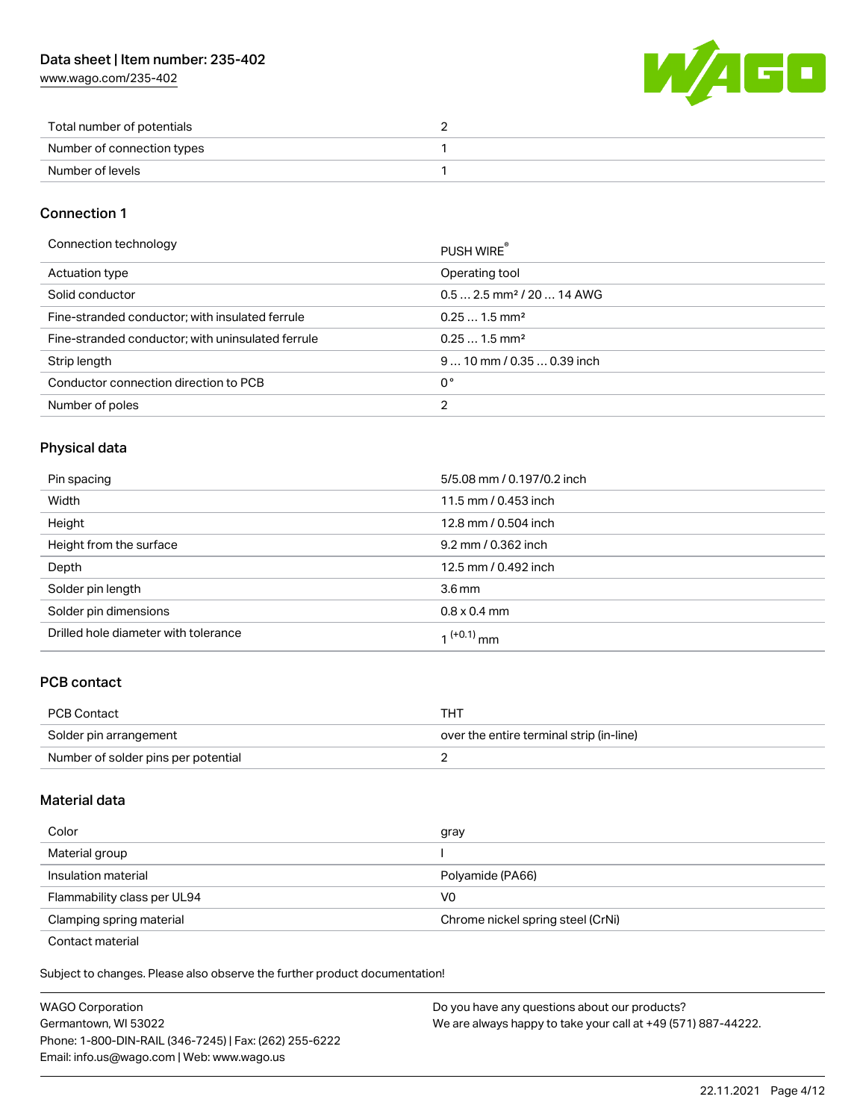[www.wago.com/235-402](http://www.wago.com/235-402)



| Total number of potentials |  |
|----------------------------|--|
| Number of connection types |  |
| Number of levels           |  |

### Connection 1

| Connection technology                             | PUSH WIRE <sup>®</sup>                 |
|---------------------------------------------------|----------------------------------------|
| Actuation type                                    | Operating tool                         |
| Solid conductor                                   | $0.5$ 2.5 mm <sup>2</sup> / 20  14 AWG |
| Fine-stranded conductor; with insulated ferrule   | $0.251.5$ mm <sup>2</sup>              |
| Fine-stranded conductor; with uninsulated ferrule | $0.251.5$ mm <sup>2</sup>              |
| Strip length                                      | $910$ mm $/0.350.39$ inch              |
| Conductor connection direction to PCB             | 0°                                     |
| Number of poles                                   | 2                                      |

# Physical data

| Pin spacing                          | 5/5.08 mm / 0.197/0.2 inch |
|--------------------------------------|----------------------------|
| Width                                | 11.5 mm / 0.453 inch       |
| Height                               | 12.8 mm / 0.504 inch       |
| Height from the surface              | 9.2 mm / 0.362 inch        |
| Depth                                | 12.5 mm / 0.492 inch       |
| Solder pin length                    | 3.6 <sub>mm</sub>          |
| Solder pin dimensions                | $0.8 \times 0.4$ mm        |
| Drilled hole diameter with tolerance | 1 <sup>(+0.1)</sup> mm     |

# PCB contact

| <b>PCB Contact</b>                  | тнт                                      |
|-------------------------------------|------------------------------------------|
| Solder pin arrangement              | over the entire terminal strip (in-line) |
| Number of solder pins per potential |                                          |

### Material data

| Color                                            | gray                              |
|--------------------------------------------------|-----------------------------------|
| Material group                                   |                                   |
| Insulation material                              | Polyamide (PA66)                  |
| Flammability class per UL94                      | V0                                |
| Clamping spring material                         | Chrome nickel spring steel (CrNi) |
| $\sim$ $\sim$ $\sim$ $\sim$ $\sim$ $\sim$ $\sim$ |                                   |

Contact material

Subject to changes. Please also observe the further product documentation!  $\mathbf{E}$ 

| <b>WAGO Corporation</b>                                | Do you have any questions about our products?                 |
|--------------------------------------------------------|---------------------------------------------------------------|
| Germantown, WI 53022                                   | We are always happy to take your call at +49 (571) 887-44222. |
| Phone: 1-800-DIN-RAIL (346-7245)   Fax: (262) 255-6222 |                                                               |
| Email: info.us@wago.com   Web: www.wago.us             |                                                               |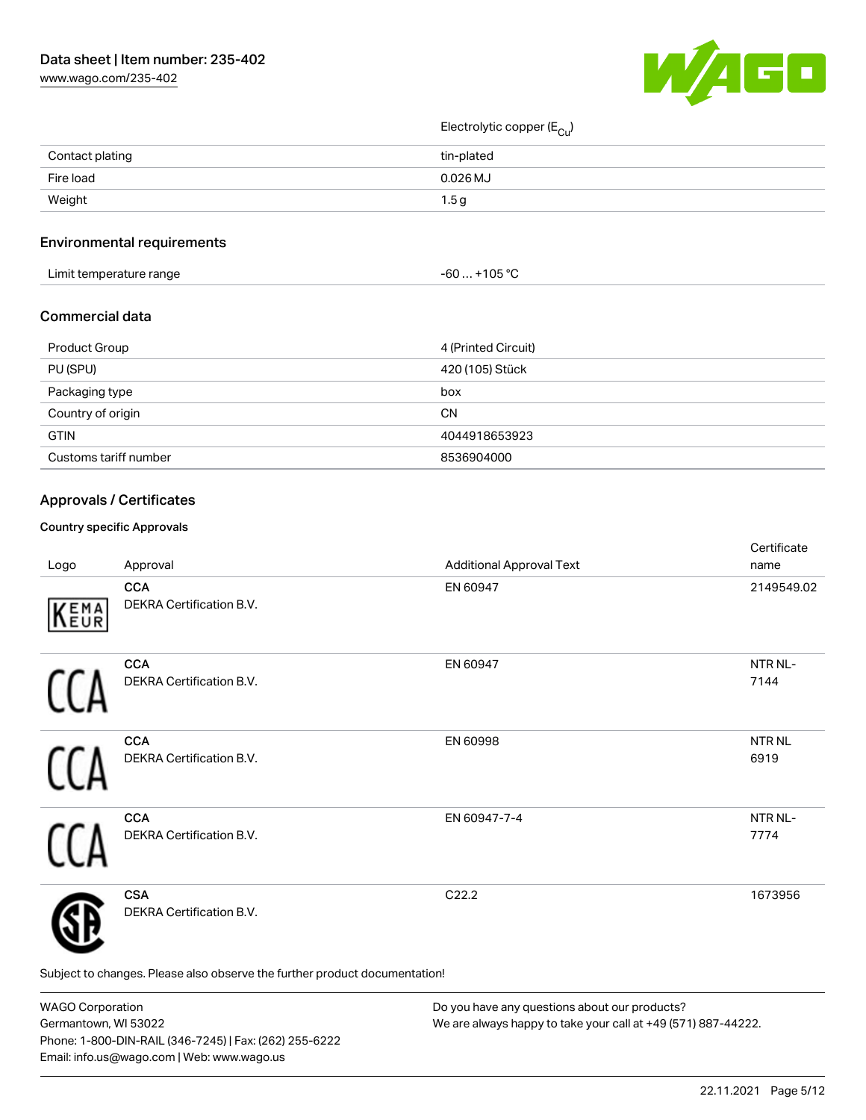[www.wago.com/235-402](http://www.wago.com/235-402)



Electrolytic copper (E<sub>Cu</sub>)

| Contact plating | tin-plated       |
|-----------------|------------------|
| Fire load       | $0.026$ MJ       |
| Weight          | 1.5 <sub>g</sub> |

### Environmental requirements

| Limit temperature range | +105 °C<br>-60 |
|-------------------------|----------------|
|-------------------------|----------------|

### Commercial data

| Product Group         | 4 (Printed Circuit) |
|-----------------------|---------------------|
| PU (SPU)              | 420 (105) Stück     |
| Packaging type        | box                 |
| Country of origin     | CΝ                  |
| <b>GTIN</b>           | 4044918653923       |
| Customs tariff number | 8536904000          |

# Approvals / Certificates

#### Country specific Approvals

| Logo | Approval                                                                   | <b>Additional Approval Text</b> | Certificate<br>name         |
|------|----------------------------------------------------------------------------|---------------------------------|-----------------------------|
| KEMA | <b>CCA</b><br>DEKRA Certification B.V.                                     | EN 60947                        | 2149549.02                  |
|      | <b>CCA</b><br>DEKRA Certification B.V.                                     | EN 60947                        | NTR <sub>NL</sub> -<br>7144 |
|      | <b>CCA</b><br>DEKRA Certification B.V.                                     | EN 60998                        | NTR <sub>NL</sub><br>6919   |
|      | <b>CCA</b><br>DEKRA Certification B.V.                                     | EN 60947-7-4                    | NTR <sub>NL</sub> -<br>7774 |
|      | <b>CSA</b><br>DEKRA Certification B.V.                                     | C22.2                           | 1673956                     |
|      | Subject to changes. Please also observe the further product documentation! |                                 |                             |

WAGO Corporation Germantown, WI 53022 Phone: 1-800-DIN-RAIL (346-7245) | Fax: (262) 255-6222 Email: info.us@wago.com | Web: www.wago.us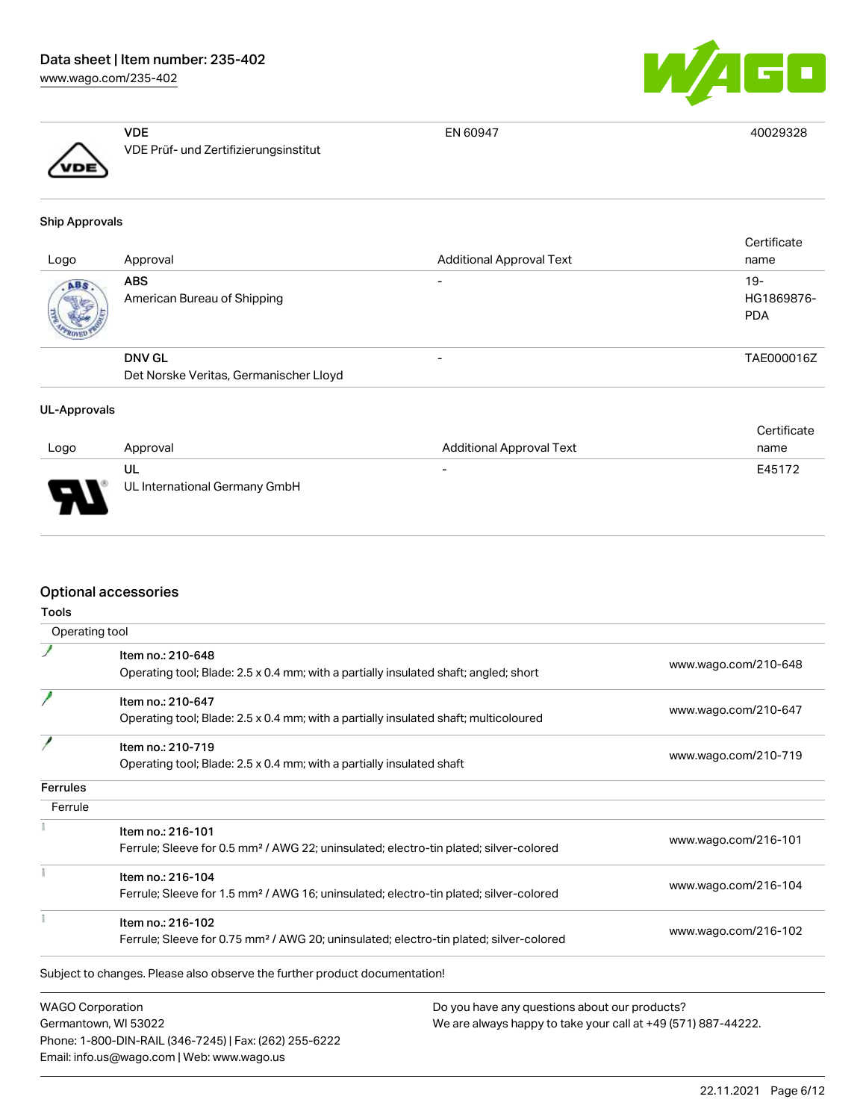[www.wago.com/235-402](http://www.wago.com/235-402)



40029328

|                      | VDE                                   | EN 60947 |
|----------------------|---------------------------------------|----------|
| $\sqrt{\frac{1}{2}}$ | VDE Prüf- und Zertifizierungsinstitut |          |
|                      |                                       |          |

#### Ship Approvals

| Logo | Approval                               | <b>Additional Approval Text</b> | Certificate<br>name             |
|------|----------------------------------------|---------------------------------|---------------------------------|
| ABS. | ABS<br>American Bureau of Shipping     |                                 | 19-<br>HG1869876-<br><b>PDA</b> |
|      | <b>DNV GL</b>                          |                                 | TAE000016Z                      |
|      | Det Norske Veritas, Germanischer Lloyd |                                 |                                 |

#### UL-Approvals

|          |                               |                                 | Certificate |
|----------|-------------------------------|---------------------------------|-------------|
| Logo     | Approval                      | <b>Additional Approval Text</b> | name        |
|          | UL                            | $\overline{\phantom{0}}$        | E45172      |
| Б<br>. . | UL International Germany GmbH |                                 |             |

# Optional accessories

Phone: 1-800-DIN-RAIL (346-7245) | Fax: (262) 255-6222

Email: info.us@wago.com | Web: www.wago.us

| <b>Tools</b>            |                                                                                                    |                                                               |
|-------------------------|----------------------------------------------------------------------------------------------------|---------------------------------------------------------------|
| Operating tool          |                                                                                                    |                                                               |
|                         | Item no.: 210-648                                                                                  |                                                               |
|                         | Operating tool; Blade: 2.5 x 0.4 mm; with a partially insulated shaft; angled; short               | www.wago.com/210-648                                          |
|                         | Item no.: 210-647                                                                                  |                                                               |
|                         | Operating tool; Blade: 2.5 x 0.4 mm; with a partially insulated shaft; multicoloured               | www.wago.com/210-647                                          |
|                         | Item no.: 210-719                                                                                  |                                                               |
|                         | Operating tool; Blade: 2.5 x 0.4 mm; with a partially insulated shaft                              | www.wago.com/210-719                                          |
| <b>Ferrules</b>         |                                                                                                    |                                                               |
| Ferrule                 |                                                                                                    |                                                               |
|                         | Item no.: 216-101                                                                                  |                                                               |
|                         | Ferrule; Sleeve for 0.5 mm <sup>2</sup> / AWG 22; uninsulated; electro-tin plated; silver-colored  | www.wago.com/216-101                                          |
|                         | Item no.: 216-104                                                                                  |                                                               |
|                         | Ferrule; Sleeve for 1.5 mm <sup>2</sup> / AWG 16; uninsulated; electro-tin plated; silver-colored  | www.wago.com/216-104                                          |
|                         | Item no.: 216-102                                                                                  |                                                               |
|                         | Ferrule; Sleeve for 0.75 mm <sup>2</sup> / AWG 20; uninsulated; electro-tin plated; silver-colored | www.wago.com/216-102                                          |
|                         | Subject to changes. Please also observe the further product documentation!                         |                                                               |
| <b>WAGO Corporation</b> |                                                                                                    | Do you have any questions about our products?                 |
|                         | Germantown, WI 53022                                                                               | We are always happy to take your call at +49 (571) 887-44222. |

22.11.2021 Page 6/12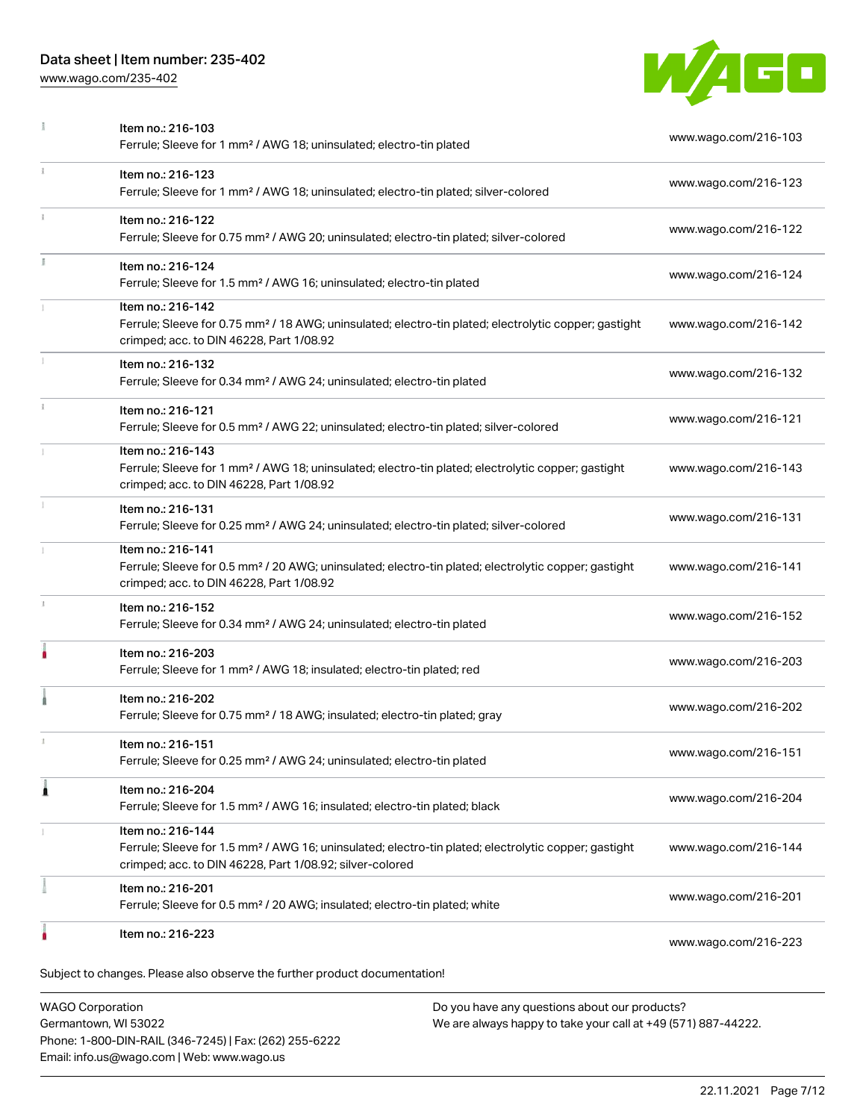[www.wago.com/235-402](http://www.wago.com/235-402)



|           | <b>WAGO Corporation</b><br>Do you have any questions about our products?                                                                                                                          |                      |
|-----------|---------------------------------------------------------------------------------------------------------------------------------------------------------------------------------------------------|----------------------|
|           | Subject to changes. Please also observe the further product documentation!                                                                                                                        |                      |
|           | Item no.: 216-223                                                                                                                                                                                 | www.wago.com/216-223 |
|           | Item no.: 216-201<br>Ferrule; Sleeve for 0.5 mm <sup>2</sup> / 20 AWG; insulated; electro-tin plated; white                                                                                       | www.wago.com/216-201 |
|           | Item no.: 216-144<br>Ferrule; Sleeve for 1.5 mm <sup>2</sup> / AWG 16; uninsulated; electro-tin plated; electrolytic copper; gastight<br>crimped; acc. to DIN 46228, Part 1/08.92; silver-colored | www.wago.com/216-144 |
| ۸         | Item no.: 216-204<br>Ferrule; Sleeve for 1.5 mm <sup>2</sup> / AWG 16; insulated; electro-tin plated; black                                                                                       | www.wago.com/216-204 |
|           | Item no.: 216-151<br>Ferrule; Sleeve for 0.25 mm <sup>2</sup> / AWG 24; uninsulated; electro-tin plated                                                                                           | www.wago.com/216-151 |
|           | Item no.: 216-202<br>Ferrule; Sleeve for 0.75 mm <sup>2</sup> / 18 AWG; insulated; electro-tin plated; gray                                                                                       | www.wago.com/216-202 |
|           | Item no.: 216-203<br>Ferrule; Sleeve for 1 mm <sup>2</sup> / AWG 18; insulated; electro-tin plated; red                                                                                           | www.wago.com/216-203 |
| ı         | Item no.: 216-152<br>Ferrule; Sleeve for 0.34 mm <sup>2</sup> / AWG 24; uninsulated; electro-tin plated                                                                                           | www.wago.com/216-152 |
|           | Item no.: 216-141<br>Ferrule; Sleeve for 0.5 mm <sup>2</sup> / 20 AWG; uninsulated; electro-tin plated; electrolytic copper; gastight<br>crimped; acc. to DIN 46228, Part 1/08.92                 | www.wago.com/216-141 |
|           | Item no.: 216-131<br>Ferrule; Sleeve for 0.25 mm <sup>2</sup> / AWG 24; uninsulated; electro-tin plated; silver-colored                                                                           | www.wago.com/216-131 |
|           | Item no.: 216-143<br>Ferrule; Sleeve for 1 mm <sup>2</sup> / AWG 18; uninsulated; electro-tin plated; electrolytic copper; gastight<br>crimped; acc. to DIN 46228, Part 1/08.92                   | www.wago.com/216-143 |
| $\vec{1}$ | Item no.: 216-121<br>Ferrule; Sleeve for 0.5 mm <sup>2</sup> / AWG 22; uninsulated; electro-tin plated; silver-colored                                                                            | www.wago.com/216-121 |
|           | Item no.: 216-132<br>Ferrule; Sleeve for 0.34 mm <sup>2</sup> / AWG 24; uninsulated; electro-tin plated                                                                                           | www.wago.com/216-132 |
|           | Item no.: 216-142<br>Ferrule; Sleeve for 0.75 mm <sup>2</sup> / 18 AWG; uninsulated; electro-tin plated; electrolytic copper; gastight<br>crimped; acc. to DIN 46228, Part 1/08.92                | www.wago.com/216-142 |
|           | Item no.: 216-124<br>Ferrule; Sleeve for 1.5 mm <sup>2</sup> / AWG 16; uninsulated; electro-tin plated                                                                                            | www.wago.com/216-124 |
| ī.        | Item no.: 216-122<br>Ferrule; Sleeve for 0.75 mm <sup>2</sup> / AWG 20; uninsulated; electro-tin plated; silver-colored                                                                           | www.wago.com/216-122 |
| ī.        | Item no.: 216-123<br>Ferrule; Sleeve for 1 mm <sup>2</sup> / AWG 18; uninsulated; electro-tin plated; silver-colored                                                                              | www.wago.com/216-123 |
|           | Item no.: 216-103<br>Ferrule; Sleeve for 1 mm <sup>2</sup> / AWG 18; uninsulated; electro-tin plated                                                                                              | www.wago.com/216-103 |

Germantown, WI 53022 Phone: 1-800-DIN-RAIL (346-7245) | Fax: (262) 255-6222 Email: info.us@wago.com | Web: www.wago.us

We are always happy to take your call at +49 (571) 887-44222.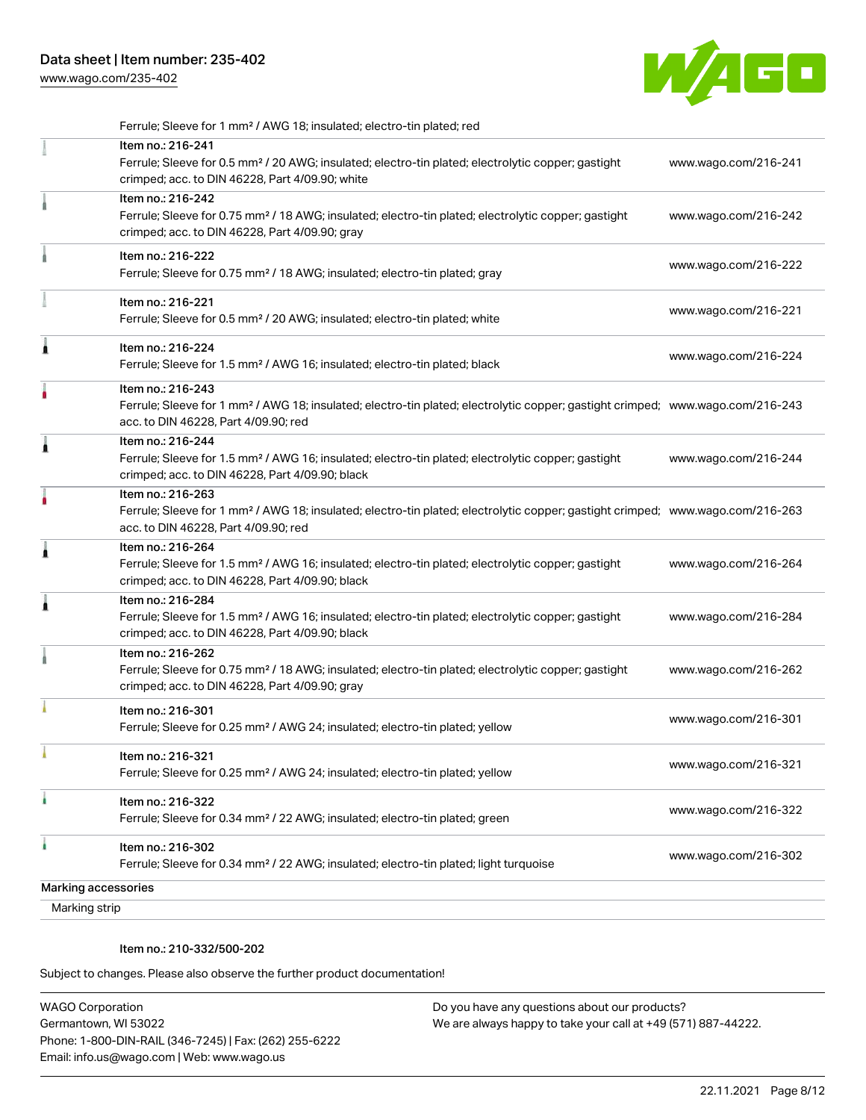[www.wago.com/235-402](http://www.wago.com/235-402)



|               | Ferrule; Sleeve for 1 mm <sup>2</sup> / AWG 18; insulated; electro-tin plated; red                                                                                                                      |                      |
|---------------|---------------------------------------------------------------------------------------------------------------------------------------------------------------------------------------------------------|----------------------|
|               | Item no.: 216-241<br>Ferrule; Sleeve for 0.5 mm <sup>2</sup> / 20 AWG; insulated; electro-tin plated; electrolytic copper; gastight<br>crimped; acc. to DIN 46228, Part 4/09.90; white                  | www.wago.com/216-241 |
|               | Item no.: 216-242<br>Ferrule; Sleeve for 0.75 mm <sup>2</sup> / 18 AWG; insulated; electro-tin plated; electrolytic copper; gastight<br>crimped; acc. to DIN 46228, Part 4/09.90; gray                  | www.wago.com/216-242 |
|               | Item no.: 216-222<br>Ferrule; Sleeve for 0.75 mm <sup>2</sup> / 18 AWG; insulated; electro-tin plated; gray                                                                                             | www.wago.com/216-222 |
|               | Item no.: 216-221<br>Ferrule; Sleeve for 0.5 mm <sup>2</sup> / 20 AWG; insulated; electro-tin plated; white                                                                                             | www.wago.com/216-221 |
| Ă             | Item no.: 216-224<br>Ferrule; Sleeve for 1.5 mm <sup>2</sup> / AWG 16; insulated; electro-tin plated; black                                                                                             | www.wago.com/216-224 |
|               | Item no.: 216-243<br>Ferrule; Sleeve for 1 mm <sup>2</sup> / AWG 18; insulated; electro-tin plated; electrolytic copper; gastight crimped; www.wago.com/216-243<br>acc. to DIN 46228, Part 4/09.90; red |                      |
| 1             | Item no.: 216-244<br>Ferrule; Sleeve for 1.5 mm <sup>2</sup> / AWG 16; insulated; electro-tin plated; electrolytic copper; gastight<br>crimped; acc. to DIN 46228, Part 4/09.90; black                  | www.wago.com/216-244 |
|               | Item no.: 216-263<br>Ferrule; Sleeve for 1 mm <sup>2</sup> / AWG 18; insulated; electro-tin plated; electrolytic copper; gastight crimped; www.wago.com/216-263<br>acc. to DIN 46228, Part 4/09.90; red |                      |
| Â             | Item no.: 216-264<br>Ferrule; Sleeve for 1.5 mm <sup>2</sup> / AWG 16; insulated; electro-tin plated; electrolytic copper; gastight<br>crimped; acc. to DIN 46228, Part 4/09.90; black                  | www.wago.com/216-264 |
|               | Item no.: 216-284<br>Ferrule; Sleeve for 1.5 mm <sup>2</sup> / AWG 16; insulated; electro-tin plated; electrolytic copper; gastight<br>crimped; acc. to DIN 46228, Part 4/09.90; black                  | www.wago.com/216-284 |
|               | Item no.: 216-262<br>Ferrule; Sleeve for 0.75 mm <sup>2</sup> / 18 AWG; insulated; electro-tin plated; electrolytic copper; gastight<br>crimped; acc. to DIN 46228, Part 4/09.90; gray                  | www.wago.com/216-262 |
|               | Item no.: 216-301<br>Ferrule; Sleeve for 0.25 mm <sup>2</sup> / AWG 24; insulated; electro-tin plated; yellow                                                                                           | www.wago.com/216-301 |
|               | Item no.: 216-321<br>Ferrule; Sleeve for 0.25 mm <sup>2</sup> / AWG 24; insulated; electro-tin plated; yellow                                                                                           | www.wago.com/216-321 |
|               | Item no.: 216-322<br>Ferrule; Sleeve for 0.34 mm <sup>2</sup> / 22 AWG; insulated; electro-tin plated; green                                                                                            | www.wago.com/216-322 |
| ă.            | Item no.: 216-302<br>Ferrule; Sleeve for 0.34 mm <sup>2</sup> / 22 AWG; insulated; electro-tin plated; light turquoise                                                                                  | www.wago.com/216-302 |
|               | Marking accessories                                                                                                                                                                                     |                      |
| Marking strip |                                                                                                                                                                                                         |                      |

Item no.: 210-332/500-202

Subject to changes. Please also observe the further product documentation!

WAGO Corporation Germantown, WI 53022 Phone: 1-800-DIN-RAIL (346-7245) | Fax: (262) 255-6222 Email: info.us@wago.com | Web: www.wago.us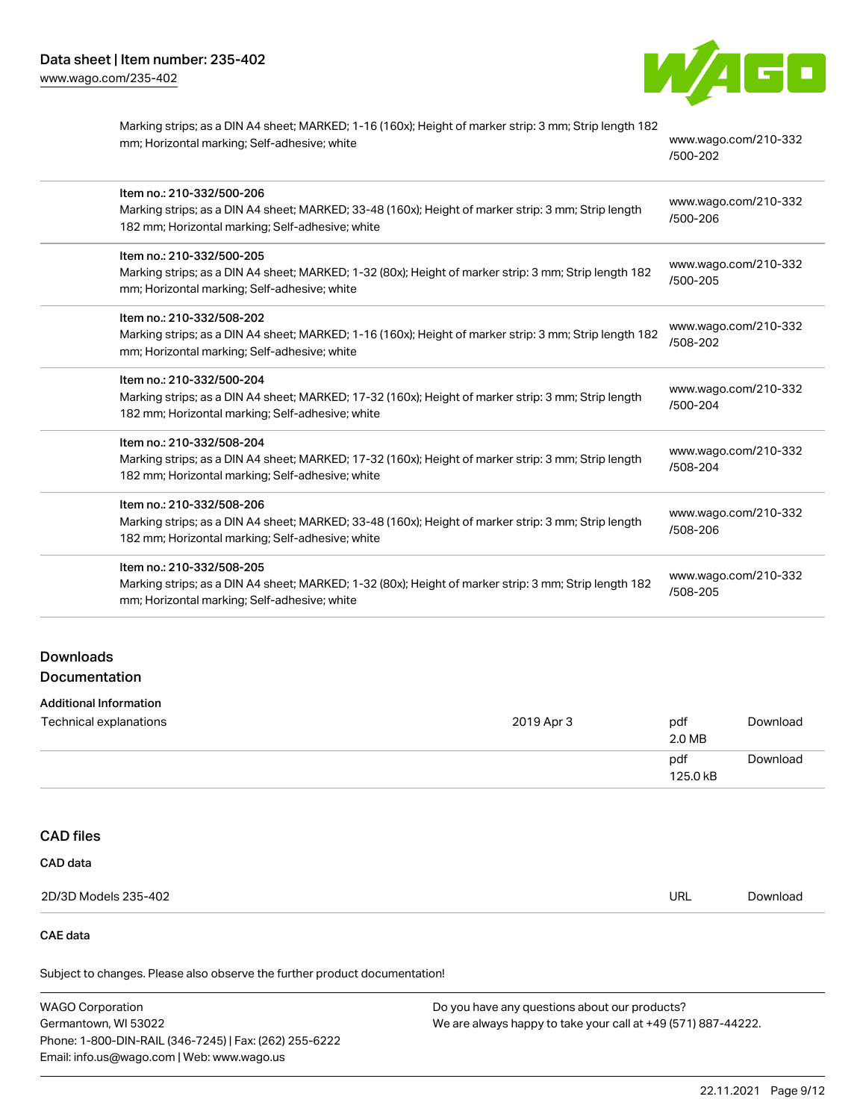

| Marking strips; as a DIN A4 sheet; MARKED; 1-16 (160x); Height of marker strip: 3 mm; Strip length 182<br>mm; Horizontal marking; Self-adhesive; white                               | www.wago.com/210-332<br>/500-202 |
|--------------------------------------------------------------------------------------------------------------------------------------------------------------------------------------|----------------------------------|
| Item no.: 210-332/500-206<br>Marking strips; as a DIN A4 sheet; MARKED; 33-48 (160x); Height of marker strip: 3 mm; Strip length<br>182 mm; Horizontal marking; Self-adhesive; white | www.wago.com/210-332<br>/500-206 |
| Item no.: 210-332/500-205<br>Marking strips; as a DIN A4 sheet; MARKED; 1-32 (80x); Height of marker strip: 3 mm; Strip length 182<br>mm; Horizontal marking; Self-adhesive; white   | www.wago.com/210-332<br>/500-205 |
| Item no.: 210-332/508-202<br>Marking strips; as a DIN A4 sheet; MARKED; 1-16 (160x); Height of marker strip: 3 mm; Strip length 182<br>mm; Horizontal marking; Self-adhesive; white  | www.wago.com/210-332<br>/508-202 |
| Item no.: 210-332/500-204<br>Marking strips; as a DIN A4 sheet; MARKED; 17-32 (160x); Height of marker strip: 3 mm; Strip length<br>182 mm; Horizontal marking; Self-adhesive; white | www.wago.com/210-332<br>/500-204 |
| Item no.: 210-332/508-204<br>Marking strips; as a DIN A4 sheet; MARKED; 17-32 (160x); Height of marker strip: 3 mm; Strip length<br>182 mm; Horizontal marking; Self-adhesive; white | www.wago.com/210-332<br>/508-204 |
| Item no.: 210-332/508-206<br>Marking strips; as a DIN A4 sheet; MARKED; 33-48 (160x); Height of marker strip: 3 mm; Strip length<br>182 mm; Horizontal marking; Self-adhesive; white | www.wago.com/210-332<br>/508-206 |
| Item no.: 210-332/508-205<br>Marking strips; as a DIN A4 sheet; MARKED; 1-32 (80x); Height of marker strip: 3 mm; Strip length 182<br>mm; Horizontal marking; Self-adhesive; white   | www.wago.com/210-332<br>/508-205 |

# Downloads Documentation

| Additional Information |            |     |
|------------------------|------------|-----|
| Technical explanations | 2019 Apr 3 | pdf |
|                        |            | 2.0 |
|                        |            |     |

|  | -- | __<br>$2.0 M$ B |          |
|--|----|-----------------|----------|
|  |    | pdf<br>125.0 kB | Jownloso |
|  |    |                 |          |

# CAD files

| CAD data             |            |          |
|----------------------|------------|----------|
| 2D/3D Models 235-402 | <b>URL</b> | Download |

# CAE data

Subject to changes. Please also observe the further product documentation!

| <b>WAGO Corporation</b>                                | Do you have any questions about our products?                 |  |
|--------------------------------------------------------|---------------------------------------------------------------|--|
| Germantown, WI 53022                                   | We are always happy to take your call at +49 (571) 887-44222. |  |
| Phone: 1-800-DIN-RAIL (346-7245)   Fax: (262) 255-6222 |                                                               |  |
| Email: info.us@wago.com   Web: www.wago.us             |                                                               |  |

[Download](https://www.wago.com/global/d/1435602)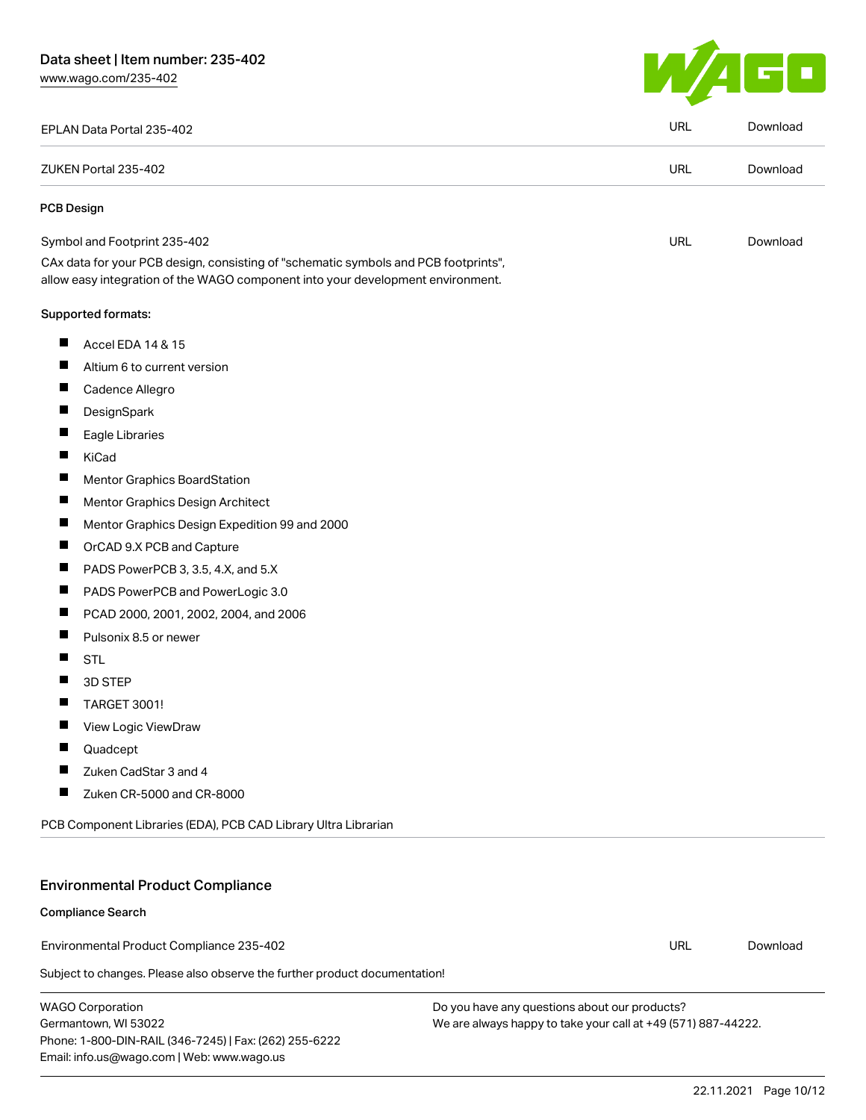[www.wago.com/235-402](http://www.wago.com/235-402)



| EPLAN Data Portal 235-402                                                                                                                                              | <b>URL</b> | Download |
|------------------------------------------------------------------------------------------------------------------------------------------------------------------------|------------|----------|
| ZUKEN Portal 235-402                                                                                                                                                   |            | Download |
| <b>PCB Design</b>                                                                                                                                                      |            |          |
| Symbol and Footprint 235-402                                                                                                                                           |            | Download |
| CAx data for your PCB design, consisting of "schematic symbols and PCB footprints",<br>allow easy integration of the WAGO component into your development environment. |            |          |
| <b>Supported formats:</b>                                                                                                                                              |            |          |
| ш<br>Accel EDA 14 & 15                                                                                                                                                 |            |          |
| L<br>Altium 6 to current version                                                                                                                                       |            |          |
| ш<br>Cadence Allegro                                                                                                                                                   |            |          |
| Ш<br>DesignSpark                                                                                                                                                       |            |          |
| $\overline{\phantom{a}}$<br>Eagle Libraries                                                                                                                            |            |          |
| ш<br>KiCad                                                                                                                                                             |            |          |
| $\overline{\phantom{a}}$<br><b>Mentor Graphics BoardStation</b>                                                                                                        |            |          |
| ш<br>Mentor Graphics Design Architect                                                                                                                                  |            |          |
| ш<br>Mentor Graphics Design Expedition 99 and 2000                                                                                                                     |            |          |
| Ш<br>OrCAD 9.X PCB and Capture                                                                                                                                         |            |          |
| PADS PowerPCB 3, 3.5, 4.X, and 5.X<br>−                                                                                                                                |            |          |
| ш<br>PADS PowerPCB and PowerLogic 3.0                                                                                                                                  |            |          |
| ш<br>PCAD 2000, 2001, 2002, 2004, and 2006                                                                                                                             |            |          |
| Pulsonix 8.5 or newer                                                                                                                                                  |            |          |
| H<br><b>STL</b>                                                                                                                                                        |            |          |
| Ш<br>3D STEP                                                                                                                                                           |            |          |
| <b>TARGET 3001!</b>                                                                                                                                                    |            |          |
| Ш<br>View Logic ViewDraw                                                                                                                                               |            |          |
| Ш<br>Quadcept                                                                                                                                                          |            |          |
| Zuken CadStar 3 and 4                                                                                                                                                  |            |          |
| Zuken CR-5000 and CR-8000<br>$\overline{\phantom{0}}$                                                                                                                  |            |          |
| PCB Component Libraries (EDA), PCB CAD Library Ultra Librarian                                                                                                         |            |          |
| <b>Environmental Product Compliance</b>                                                                                                                                |            |          |
| <b>Compliance Search</b>                                                                                                                                               |            |          |
| Environmental Product Compliance 235-402                                                                                                                               |            | Download |
| Subject to changes. Please also observe the further product documentation!                                                                                             | URL        |          |
|                                                                                                                                                                        |            |          |

WAGO Corporation Germantown, WI 53022 Phone: 1-800-DIN-RAIL (346-7245) | Fax: (262) 255-6222 Email: info.us@wago.com | Web: www.wago.us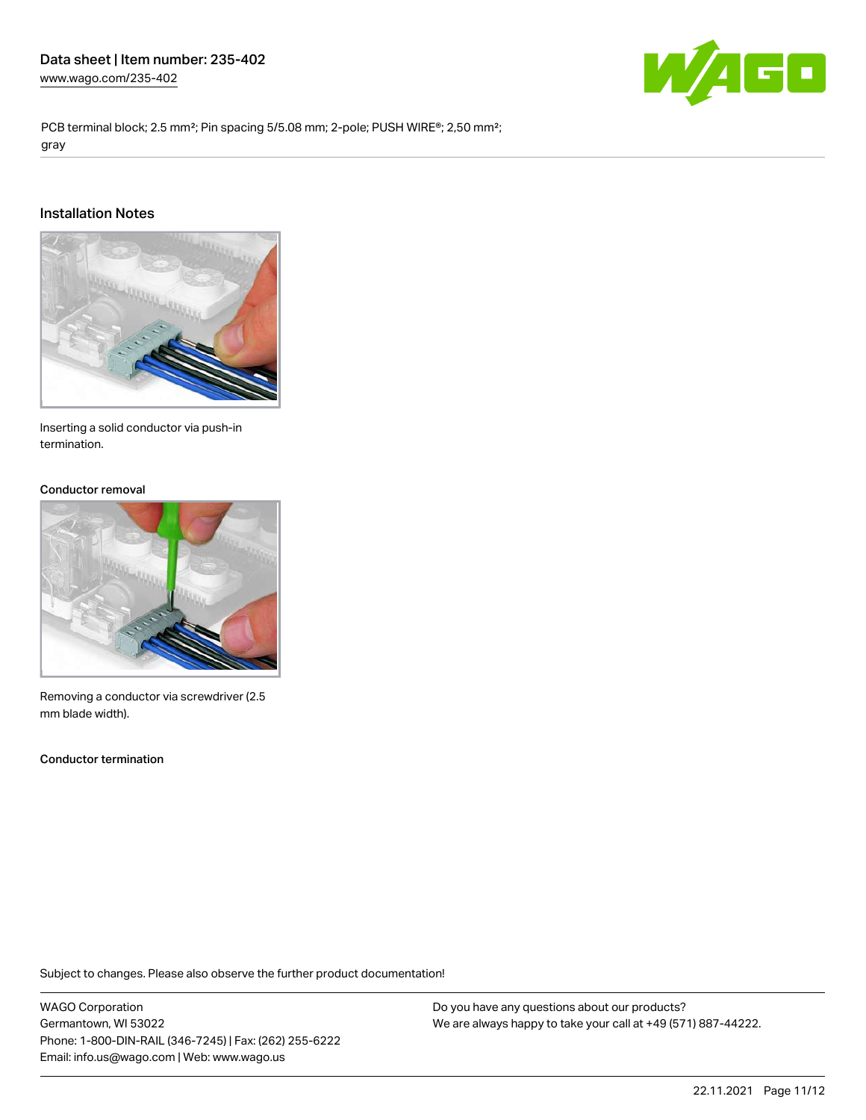

PCB terminal block; 2.5 mm<sup>2</sup>; Pin spacing 5/5.08 mm; 2-pole; PUSH WIRE<sup>®</sup>; 2,50 mm<sup>2</sup>; gray

### Installation Notes



Inserting a solid conductor via push-in termination.

#### Conductor removal



Removing a conductor via screwdriver (2.5 mm blade width).

Conductor termination

Subject to changes. Please also observe the further product documentation!

WAGO Corporation Germantown, WI 53022 Phone: 1-800-DIN-RAIL (346-7245) | Fax: (262) 255-6222 Email: info.us@wago.com | Web: www.wago.us